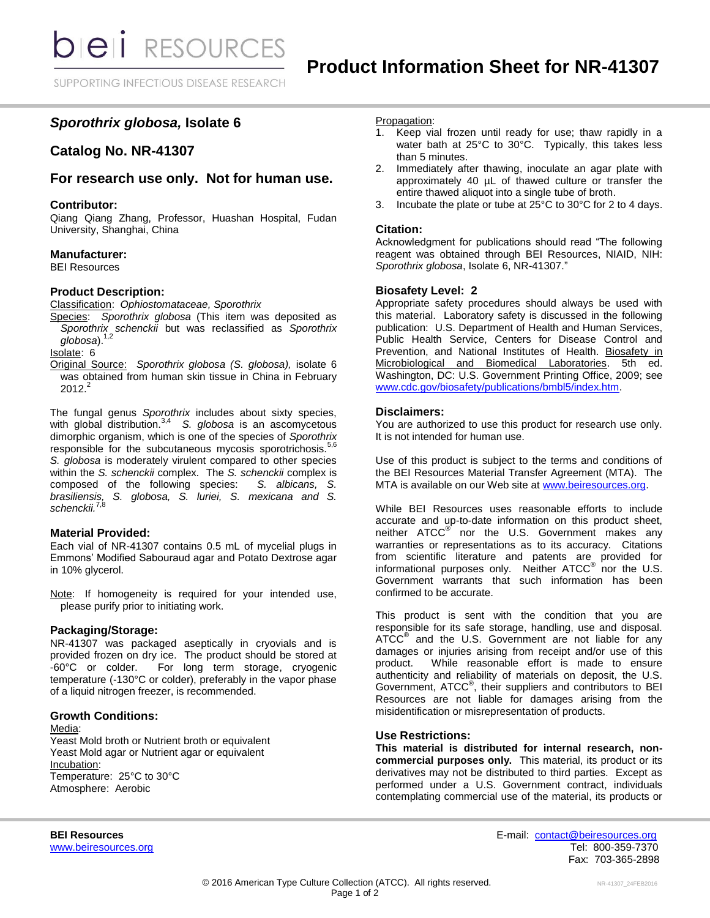# *Sporothrix globosa,* **Isolate 6**

# **Catalog No. NR-41307**

# **For research use only. Not for human use.**

#### **Contributor:**

Qiang Qiang Zhang, Professor, Huashan Hospital, Fudan University, Shanghai, China

#### **Manufacturer:**

BEI Resources

#### **Product Description:**

Classification: *Ophiostomataceae, Sporothrix*

Species: *Sporothrix globosa* (This item was deposited as *Sporothrix schenckii* but was reclassified as *Sporothrix globosa*). 1,2

Isolate: 6

Original Source: *Sporothrix globosa (S. globosa),* isolate 6 was obtained from human skin tissue in China in February  $2012.<sup>2</sup>$ 

The fungal genus *Sporothrix* includes about sixty species, with global distribution.3,4 *S. globosa* is an ascomycetous dimorphic organism, which is one of the species of *Sporothrix* responsible for the subcutaneous mycosis sporotrichosis.<sup>5,6</sup> *S. globosa* is moderately virulent compared to other species within the *S. schenckii* complex. The *S. schenckii* complex is composed of the following species: *S. albicans*, *S.* composed of the following species: *brasiliensis, S. globosa, S. luriei, S. mexicana and S. schenckii.*7,8

#### **Material Provided:**

Each vial of NR-41307 contains 0.5 mL of mycelial plugs in Emmons' Modified Sabouraud agar and Potato Dextrose agar in 10% glycerol.

Note: If homogeneity is required for your intended use, please purify prior to initiating work.

### **Packaging/Storage:**

NR-41307 was packaged aseptically in cryovials and is provided frozen on dry ice. The product should be stored at -60°C or colder. For long term storage, cryogenic temperature (-130°C or colder), preferably in the vapor phase of a liquid nitrogen freezer, is recommended.

#### **Growth Conditions:**

#### Media:

Yeast Mold broth or Nutrient broth or equivalent Yeast Mold agar or Nutrient agar or equivalent Incubation: Temperature: 25°C to 30°C Atmosphere: Aerobic

#### Propagation:

- 1. Keep vial frozen until ready for use; thaw rapidly in a water bath at 25°C to 30°C. Typically, this takes less than 5 minutes.
- 2. Immediately after thawing, inoculate an agar plate with approximately 40  $\mu$ L of thawed culture or transfer the entire thawed aliquot into a single tube of broth.
- Incubate the plate or tube at 25°C to 30°C for 2 to 4 days.

#### **Citation:**

Acknowledgment for publications should read "The following reagent was obtained through BEI Resources, NIAID, NIH: *Sporothrix globosa*, Isolate 6, NR-41307."

#### **Biosafety Level: 2**

Appropriate safety procedures should always be used with this material. Laboratory safety is discussed in the following publication: U.S. Department of Health and Human Services, Public Health Service, Centers for Disease Control and Prevention, and National Institutes of Health. Biosafety in Microbiological and Biomedical Laboratories. 5th ed. Washington, DC: U.S. Government Printing Office, 2009; see [www.cdc.gov/biosafety/publications/bmbl5/index.htm.](http://www.cdc.gov/biosafety/publications/bmbl5/index.htm)

#### **Disclaimers:**

You are authorized to use this product for research use only. It is not intended for human use.

Use of this product is subject to the terms and conditions of the BEI Resources Material Transfer Agreement (MTA). The MTA is available on our Web site at [www.beiresources.org.](http://www.beiresources.org/)

While BEI Resources uses reasonable efforts to include accurate and up-to-date information on this product sheet, neither ATCC<sup>®</sup> nor the U.S. Government makes any warranties or representations as to its accuracy. Citations from scientific literature and patents are provided for informational purposes only. Neither  $\tt ATCC^@$  nor the U.S. Government warrants that such information has been confirmed to be accurate.

This product is sent with the condition that you are responsible for its safe storage, handling, use and disposal. ATCC<sup>®</sup> and the U.S. Government are not liable for any damages or injuries arising from receipt and/or use of this product. While reasonable effort is made to ensure authenticity and reliability of materials on deposit, the U.S. Government, ATCC® , their suppliers and contributors to BEI Resources are not liable for damages arising from the misidentification or misrepresentation of products.

### **Use Restrictions:**

**This material is distributed for internal research, noncommercial purposes only.** This material, its product or its derivatives may not be distributed to third parties. Except as performed under a U.S. Government contract, individuals contemplating commercial use of the material, its products or

**BEI Resources** E-mail: [contact@beiresources.org](mailto:contact@beiresources.org) [www.beiresources.org](http://www.beiresources.org/) **Tel: 800-359-7370** Fax: 703-365-2898